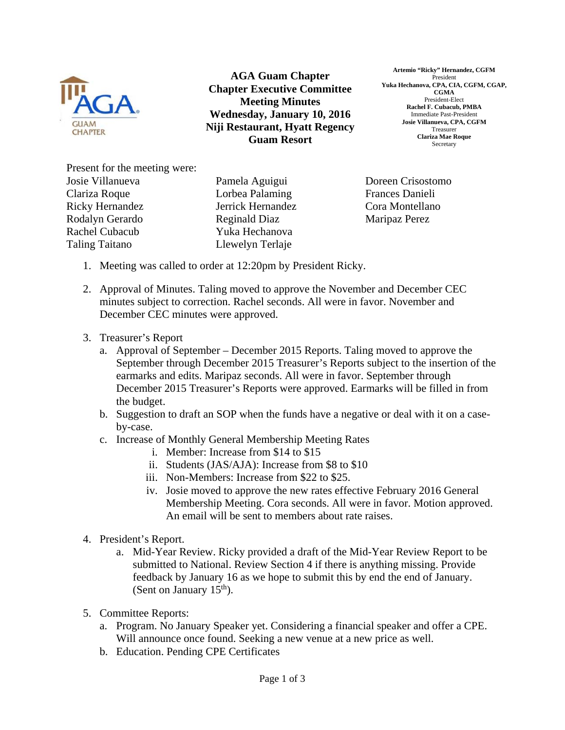

**AGA Guam Chapter Chapter Executive Committee Meeting Minutes Wednesday, January 10, 2016 Niji Restaurant, Hyatt Regency Guam Resort** 

**Artemio "Ricky" Hernandez, CGFM**  President **Yuka Hechanova, CPA, CIA, CGFM, CGAP, CGMA**  President-Elect **Rachel F. Cubacub, PMBA**  Immediate Past-President **Josie Villanueva, CPA, CGFM**  Treasurer **Clariza Mae Roque**  Secretary

Present for the meeting were:

Josie Villanueva Clariza Roque Ricky Hernandez Rodalyn Gerardo Rachel Cubacub Taling Taitano

Pamela Aguigui Lorbea Palaming Jerrick Hernandez Reginald Diaz Yuka Hechanova Llewelyn Terlaje

Doreen Crisostomo Frances Danieli Cora Montellano Maripaz Perez

- 1. Meeting was called to order at 12:20pm by President Ricky.
- 2. Approval of Minutes. Taling moved to approve the November and December CEC minutes subject to correction. Rachel seconds. All were in favor. November and December CEC minutes were approved.
- 3. Treasurer's Report
	- a. Approval of September December 2015 Reports. Taling moved to approve the September through December 2015 Treasurer's Reports subject to the insertion of the earmarks and edits. Maripaz seconds. All were in favor. September through December 2015 Treasurer's Reports were approved. Earmarks will be filled in from the budget.
	- b. Suggestion to draft an SOP when the funds have a negative or deal with it on a caseby-case.
	- c. Increase of Monthly General Membership Meeting Rates
		- i. Member: Increase from \$14 to \$15
		- ii. Students (JAS/AJA): Increase from \$8 to \$10
		- iii. Non-Members: Increase from \$22 to \$25.
		- iv. Josie moved to approve the new rates effective February 2016 General Membership Meeting. Cora seconds. All were in favor. Motion approved. An email will be sent to members about rate raises.
- 4. President's Report.
	- a. Mid-Year Review. Ricky provided a draft of the Mid-Year Review Report to be submitted to National. Review Section 4 if there is anything missing. Provide feedback by January 16 as we hope to submit this by end the end of January. (Sent on January  $15<sup>th</sup>$ ).
- 5. Committee Reports:
	- a. Program. No January Speaker yet. Considering a financial speaker and offer a CPE. Will announce once found. Seeking a new venue at a new price as well.
	- b. Education. Pending CPE Certificates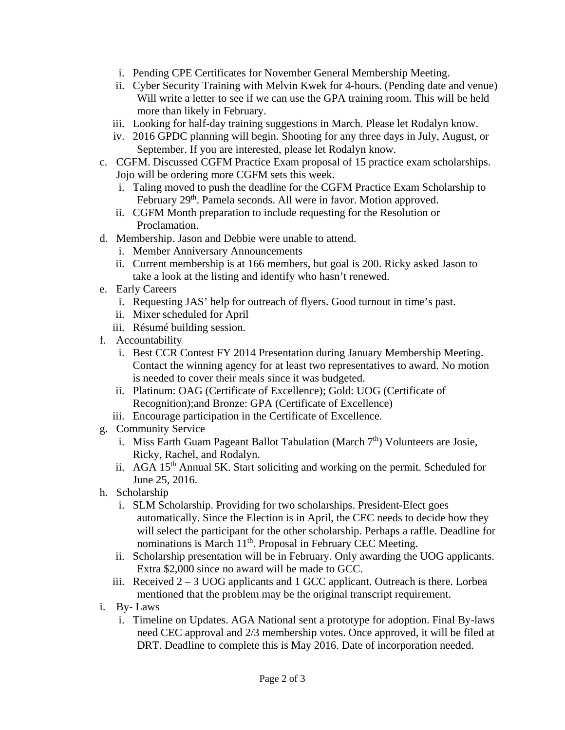- i. Pending CPE Certificates for November General Membership Meeting.
- ii. Cyber Security Training with Melvin Kwek for 4-hours. (Pending date and venue) Will write a letter to see if we can use the GPA training room. This will be held more than likely in February.
- iii. Looking for half-day training suggestions in March. Please let Rodalyn know.
- iv. 2016 GPDC planning will begin. Shooting for any three days in July, August, or September. If you are interested, please let Rodalyn know.
- c. CGFM. Discussed CGFM Practice Exam proposal of 15 practice exam scholarships. Jojo will be ordering more CGFM sets this week.
	- i. Taling moved to push the deadline for the CGFM Practice Exam Scholarship to February 29<sup>th</sup>. Pamela seconds. All were in favor. Motion approved.
	- ii. CGFM Month preparation to include requesting for the Resolution or Proclamation.
- d. Membership. Jason and Debbie were unable to attend.
	- i. Member Anniversary Announcements
	- ii. Current membership is at 166 members, but goal is 200. Ricky asked Jason to take a look at the listing and identify who hasn't renewed.
- e. Early Careers
	- i. Requesting JAS' help for outreach of flyers. Good turnout in time's past.
	- ii. Mixer scheduled for April
	- iii. Résumé building session.
- f. Accountability
	- i. Best CCR Contest FY 2014 Presentation during January Membership Meeting. Contact the winning agency for at least two representatives to award. No motion is needed to cover their meals since it was budgeted.
	- ii. Platinum: OAG (Certificate of Excellence); Gold: UOG (Certificate of Recognition);and Bronze: GPA (Certificate of Excellence)
	- iii. Encourage participation in the Certificate of Excellence.
- g. Community Service
	- i. Miss Earth Guam Pageant Ballot Tabulation (March  $7<sup>th</sup>$ ) Volunteers are Josie, Ricky, Rachel, and Rodalyn.
	- ii.  $AGA$  15<sup>th</sup> Annual 5K. Start soliciting and working on the permit. Scheduled for June 25, 2016.
- h. Scholarship
	- i. SLM Scholarship. Providing for two scholarships. President-Elect goes automatically. Since the Election is in April, the CEC needs to decide how they will select the participant for the other scholarship. Perhaps a raffle. Deadline for nominations is March 11<sup>th</sup>. Proposal in February CEC Meeting.
	- ii. Scholarship presentation will be in February. Only awarding the UOG applicants. Extra \$2,000 since no award will be made to GCC.
	- iii. Received  $2 3$  UOG applicants and 1 GCC applicant. Outreach is there. Lorbea mentioned that the problem may be the original transcript requirement.
- i. By- Laws
	- i. Timeline on Updates. AGA National sent a prototype for adoption. Final By-laws need CEC approval and 2/3 membership votes. Once approved, it will be filed at DRT. Deadline to complete this is May 2016. Date of incorporation needed.